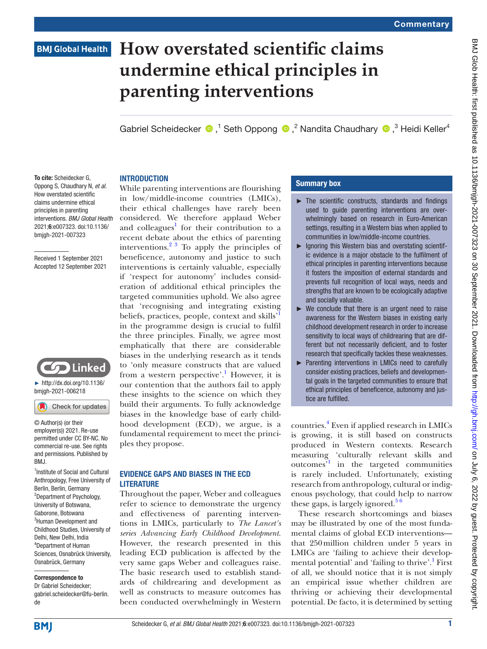# **BMJ Global Health**

# **How overstated scientific claims undermine ethical principles in parenting interventions**

GabrielScheidecker  $\bullet$ , Seth Oppong  $\bullet$ , <sup>2</sup> Nandita Chaudhary  $\bullet$ , <sup>3</sup> Heidi Keller<sup>4</sup>

#### To cite: Scheidecker G, Oppong S, Chaudhary N, *et al*. How overstated scientific claims undermine ethical principles in parenting interventions. *BMJ Global Health* 2021;6:e007323. doi:10.1136/ bmjgh-2021-007323

Received 1 September 2021 Accepted 12 September 2021



► [http://dx.doi.org/10.1136/](http://dx.doi.org/10.1136/bmjgh-2021-006218) [bmjgh-2021-006218](http://dx.doi.org/10.1136/bmjgh-2021-006218)

Check for updates

© Author(s) (or their employer(s)) 2021. Re-use permitted under CC BY-NC. No commercial re-use. See rights and permissions. Published by RM<sub>J</sub>

<sup>1</sup> Institute of Social and Cultural Anthropology, Free University of Berlin, Berlin, Germany <sup>2</sup>Department of Psychology, University of Botswana, Gaborone, Botswana <sup>3</sup>Human Development and Childhood Studies, University of Delhi, New Delhi, India 4 Department of Human Sciences, Osnabrück University, Osnabrück, Germany

#### Correspondence to

Dr Gabriel Scheidecker; gabriel.scheidecker@fu-berlin. de

# **INTRODUCTION**

While parenting interventions are flourishing in low/middle-income countries (LMICs), their ethical challenges have rarely been considered. We therefore applaud Weber and colleagues<sup>[1](#page-2-0)</sup> for their contribution to a recent debate about the ethics of parenting interventions.[2 3](#page-2-1) To apply the principles of beneficence, autonomy and justice to such interventions is certainly valuable, especially if 'respect for autonomy' includes consideration of additional ethical principles the targeted communities uphold. We also agree that 'recognising and integrating existing beliefs, practices, people, context and skills' in the programme design is crucial to fulfil the three principles. Finally, we agree most emphatically that there are considerable biases in the underlying research as it tends to 'only measure constructs that are valued from a western perspective'.<sup>[1](#page-2-0)</sup> However, it is our contention that the authors fail to apply these insights to the science on which they build their arguments. To fully acknowledge biases in the knowledge base of early childhood development (ECD), we argue, is a fundamental requirement to meet the principles they propose.

## EVIDENCE GAPS AND BIASES IN THE ECD **LITERATURE**

Throughout the paper, Weber and colleagues refer to science to demonstrate the urgency and effectiveness of parenting interventions in LMICs, particularly to *The Lancet's series Advancing Early Childhood Development*. However, the research presented in this leading ECD publication is affected by the very same gaps Weber and colleagues raise. The basic research used to establish standards of childrearing and development as well as constructs to measure outcomes has been conducted overwhelmingly in Western

#### Summary box

- $\blacktriangleright$  The scientific constructs, standards and findings used to guide parenting interventions are overwhelmingly based on research in Euro-American settings, resulting in a Western bias when applied to communities in low/middle-income countries.
- ► Ignoring this Western bias and overstating scientific evidence is a major obstacle to the fulfilment of ethical principles in parenting interventions because it fosters the imposition of external standards and prevents full recognition of local ways, needs and strengths that are known to be ecologically adaptive and socially valuable.
- $\triangleright$  We conclude that there is an urgent need to raise awareness for the Western biases in existing early childhood development research in order to increase sensitivity to local ways of childrearing that are different but not necessarily deficient, and to foster research that specifically tackles these weaknesses.
- ► Parenting interventions in LMICs need to carefully consider existing practices, beliefs and developmental goals in the targeted communities to ensure that ethical principles of beneficence, autonomy and justice are fulfilled.

countries[.4](#page-2-2) Even if applied research in LMICs is growing, it is still based on constructs produced in Western contexts. Research measuring 'culturally relevant skills and outcomes'[1](#page-2-0) in the targeted communities is rarely included. Unfortunately, existing research from anthropology, cultural or indigenous psychology, that could help to narrow these gaps, is largely ignored.<sup>56</sup>

These research shortcomings and biases may be illustrated by one of the most fundamental claims of global ECD interventions that 250million children under 5 years in LMICs are 'failing to achieve their developmental potential' and 'failing to thrive'.<sup>1</sup> First of all, we should notice that it is not simply an empirical issue whether children are thriving or achieving their developmental potential. De facto, it is determined by setting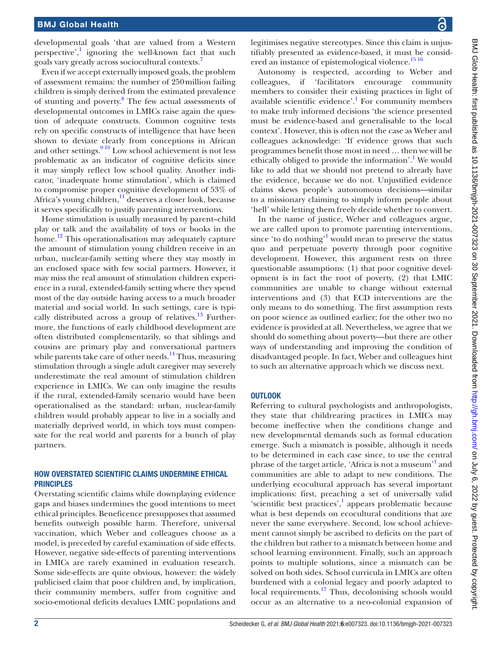developmental goals 'that are valued from a Western perspective',<sup>[1](#page-2-0)</sup> ignoring the well-known fact that such goals vary greatly across sociocultural contexts.[7](#page-2-4)

Even if we accept externally imposed goals, the problem of assessment remains: the number of 250million failing children is simply derived from the estimated prevalence of stunting and poverty. [8](#page-2-5) The few actual assessments of developmental outcomes in LMICs raise again the question of adequate constructs. Common cognitive tests rely on specific constructs of intelligence that have been shown to deviate clearly from conceptions in African and other settings. $910$  Low school achievement is not less problematic as an indicator of cognitive deficits since it may simply reflect low school quality. Another indicator, 'inadequate home stimulation', which is claimed to compromise proper cognitive development of 53% of Africa's young children,<sup>11</sup> deserves a closer look, because it serves specifically to justify parenting interventions.

Home stimulation is usually measured by parent–child play or talk and the availability of toys or books in the home.<sup>12</sup> This operationalisation may adequately capture the amount of stimulation young children receive in an urban, nuclear-family setting where they stay mostly in an enclosed space with few social partners. However, it may miss the real amount of stimulation children experience in a rural, extended-family setting where they spend most of the day outside having access to a much broader material and social world. In such settings, care is typi-cally distributed across a group of relatives.<sup>[13](#page-2-9)</sup> Furthermore, the functions of early childhood development are often distributed complementarily, so that siblings and cousins are primary play and conversational partners while parents take care of other needs.<sup>14</sup> Thus, measuring stimulation through a single adult caregiver may severely underestimate the real amount of stimulation children experience in LMICs. We can only imagine the results if the rural, extended-family scenario would have been operationalised as the standard: urban, nuclear-family children would probably appear to live in a socially and materially deprived world, in which toys must compensate for the real world and parents for a bunch of play partners.

#### HOW OVERSTATED SCIENTIFIC CLAIMS UNDERMINE ETHICAL **PRINCIPLES**

Overstating scientific claims while downplaying evidence gaps and biases undermines the good intentions to meet ethical principles. Beneficence presupposes that assumed benefits outweigh possible harm. Therefore, universal vaccination, which Weber and colleagues choose as a model, is preceded by careful examination of side effects. However, negative side-effects of parenting interventions in LMICs are rarely examined in evaluation research. Some side-effects are quite obvious, however: the widely publicised claim that poor children and, by implication, their community members, suffer from cognitive and socio-emotional deficits devalues LMIC populations and

legitimises negative stereotypes. Since this claim is unjustifiably presented as evidence-based, it must be consid-ered an instance of epistemological violence.<sup>[15 16](#page-2-11)</sup>

Autonomy is respected, according to Weber and colleagues, if 'facilitators encourage community members to consider their existing practices in light of available scientific evidence'.<sup>1</sup> For community members to make truly informed decisions 'the science presented must be evidence-based and generalisable to the local context'. However, this is often not the case as Weber and colleagues acknowledge: 'If evidence grows that such programmes benefit those most in need … then we will be ethically obliged to provide the information'.<sup>1</sup> We would like to add that we should not pretend to already have the evidence, because we do not. Unjustified evidence claims skews people's autonomous decisions—similar to a missionary claiming to simply inform people about 'hell' while letting them freely decide whether to convert.

In the name of justice, Weber and colleagues argue, we are called upon to promote parenting interventions, since 'to do nothing'<sup>1</sup> would mean to preserve the status quo and perpetuate poverty through poor cognitive development. However, this argument rests on three questionable assumptions: (1) that poor cognitive development is in fact the root of poverty, (2) that LMIC communities are unable to change without external interventions and (3) that ECD interventions are the only means to do something. The first assumption rests on poor science as outlined earlier; for the other two no evidence is provided at all. Nevertheless, we agree that we should do something about poverty—but there are other ways of understanding and improving the condition of disadvantaged people. In fact, Weber and colleagues hint to such an alternative approach which we discuss next.

#### **OUTLOOK**

Referring to cultural psychologists and anthropologists, they state that childrearing practices in LMICs may become ineffective when the conditions change and new developmental demands such as formal education emerge. Such a mismatch is possible, although it needs to be determined in each case since, to use the central phrase of the target article, 'Africa is not a museum'<sup>[1](#page-2-0)</sup> and communities are able to adapt to new conditions. The underlying ecocultural approach has several important implications: first, preaching a set of universally valid 'scientific best practices',<sup>1</sup> appears problematic because what is best depends on ecocultural conditions that are never the same everywhere. Second, low school achievement cannot simply be ascribed to deficits on the part of the children but rather to a mismatch between home and school learning environment. Finally, such an approach points to multiple solutions, since a mismatch can be solved on both sides. School curricula in LMICs are often burdened with a colonial legacy and poorly adapted to local requirements.<sup>[17](#page-2-12)</sup> Thus, decolonising schools would occur as an alternative to a neo-colonial expansion of